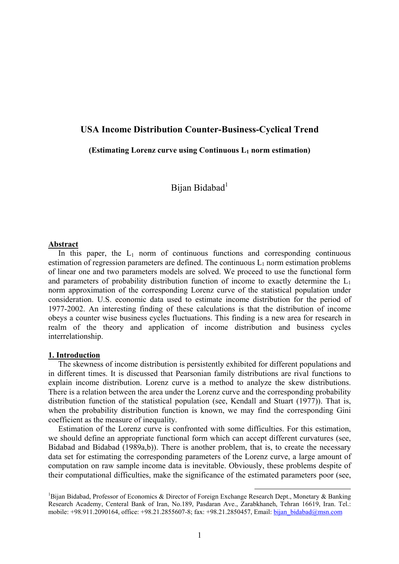## **USA Income Distribution Counter-Business-Cyclical Trend**

**(Estimating Lorenz curve using Continuous L1 norm estimation)** 

Bijan Bidabad<sup>1</sup>

#### **Abstract**

In this paper, the  $L_1$  norm of continuous functions and corresponding continuous estimation of regression parameters are defined. The continuous  $L_1$  norm estimation problems of linear one and two parameters models are solved. We proceed to use the functional form and parameters of probability distribution function of income to exactly determine the  $L_1$ norm approximation of the corresponding Lorenz curve of the statistical population under consideration. U.S. economic data used to estimate income distribution for the period of 1977-2002. An interesting finding of these calculations is that the distribution of income obeys a counter wise business cycles fluctuations. This finding is a new area for research in realm of the theory and application of income distribution and business cycles interrelationship.

## **1. Introduction**

 The skewness of income distribution is persistently exhibited for different populations and in different times. It is discussed that Pearsonian family distributions are rival functions to explain income distribution. Lorenz curve is a method to analyze the skew distributions. There is a relation between the area under the Lorenz curve and the corresponding probability distribution function of the statistical population (see, Kendall and Stuart (1977)). That is, when the probability distribution function is known, we may find the corresponding Gini coefficient as the measure of inequality.

 Estimation of the Lorenz curve is confronted with some difficulties. For this estimation, we should define an appropriate functional form which can accept different curvatures (see, Bidabad and Bidabad (1989a,b)). There is another problem, that is, to create the necessary data set for estimating the corresponding parameters of the Lorenz curve, a large amount of computation on raw sample income data is inevitable. Obviously, these problems despite of their computational difficulties, make the significance of the estimated parameters poor (see,

<sup>1&</sup>lt;br>
<sup>1</sup> Bijan Bidabad, Professor of Economics & Director of Foreign Exchange Research Dept., Monetary & Banking Research Academy, Centeral Bank of Iran, No.189, Pasdaran Ave., Zarabkhaneh, Tehran 16619, Iran. Tel.: mobile: +98.911.2090164, office: +98.21.2855607-8; fax: +98.21.2850457, Email: bijan\_bidabad@msn.com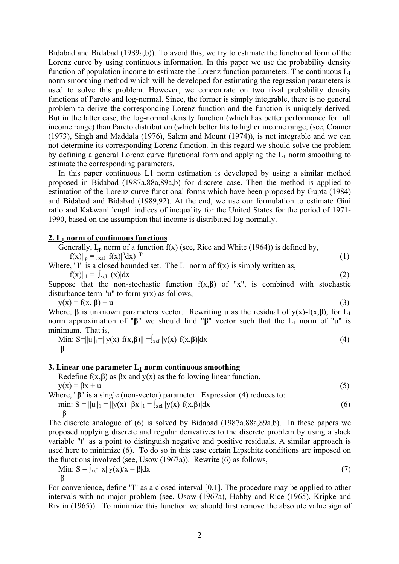Bidabad and Bidabad (1989a,b)). To avoid this, we try to estimate the functional form of the Lorenz curve by using continuous information. In this paper we use the probability density function of population income to estimate the Lorenz function parameters. The continuous  $L_1$ norm smoothing method which will be developed for estimating the regression parameters is used to solve this problem. However, we concentrate on two rival probability density functions of Pareto and log-normal. Since, the former is simply integrable, there is no general problem to derive the corresponding Lorenz function and the function is uniquely derived. But in the latter case, the log-normal density function (which has better performance for full income range) than Pareto distribution (which better fits to higher income range, (see, Cramer (1973), Singh and Maddala (1976), Salem and Mount (1974)), is not integrable and we can not determine its corresponding Lorenz function. In this regard we should solve the problem by defining a general Lorenz curve functional form and applying the  $L_1$  norm smoothing to estimate the corresponding parameters.

 In this paper continuous L1 norm estimation is developed by using a similar method proposed in Bidabad (1987a,88a,89a,b) for discrete case. Then the method is applied to estimation of the Lorenz curve functional forms which have been proposed by Gupta (1984) and Bidabad and Bidabad (1989,92). At the end, we use our formulation to estimate Gini ratio and Kakwani length indices of inequality for the United States for the period of 1971- 1990, based on the assumption that income is distributed log-normally.

## **2. L1 norm of continuous functions**

Generally,  $L_p$  norm of a function  $f(x)$  (see, Rice and White (1964)) is defined by,  $||f(x)||_p = \int_{x \in I} |f(x)|^p dx$ <sup>1/p</sup>  $dx)$ <sup>1/p</sup> (1) Where, "I" is a closed bounded set. The  $L_1$  norm of  $f(x)$  is simply written as,  $||f(x)||_1 = \int_{x \in I} |(x)| dx$  (2) Suppose that the non-stochastic function  $f(x,\beta)$  of "x", is combined with stochastic

disturbance term "u" to form  $y(x)$  as follows,  $y(x) = f(x, \beta) + u$  (3)

Where, **β** is unknown parameters vector. Rewriting u as the residual of  $y(x)$ -f(x, **β**), for L<sub>1</sub> norm approximation of " $\beta$ " we should find " $\beta$ " vector such that the L<sub>1</sub> norm of "u" is minimum. That is,

Min: S=||u||<sub>1</sub>=||y(x)-f(x,\beta)||<sub>1</sub>=
$$
\int_{x\in I} |y(x)-f(x,\beta)| dx
$$
\n(4)

### **3. Linear one parameter L<sub>1</sub> norm continuous smoothing**

Redefine  $f(x, \beta)$  as  $\beta x$  and  $y(x)$  as the following linear function,  $y(x) = \beta x + u$  (5)

Where, "**β**" is a single (non-vector) parameter. Expression (4) reduces to: min:  $S = ||u||_1 = ||y(x) - \beta x||_1 = \int_{x \in I} |y(x) - f(x, \beta)| dx$  (6)

$$
\beta
$$

The discrete analogue of (6) is solved by Bidabad (1987a,88a,89a,b). In these papers we proposed applying discrete and regular derivatives to the discrete problem by using a slack variable "t" as a point to distinguish negative and positive residuals. A similar approach is used here to minimize (6). To do so in this case certain Lipschitz conditions are imposed on the functions involved (see, Usow (1967a)). Rewrite (6) as follows,

Min: 
$$
S = \int_{x \in I} |x||y(x)/x - \beta| dx
$$
 (7)  
 $\beta$ 

For convenience, define "I" as a closed interval [0,1]. The procedure may be applied to other intervals with no major problem (see, Usow (1967a), Hobby and Rice (1965), Kripke and Rivlin (1965)). To minimize this function we should first remove the absolute value sign of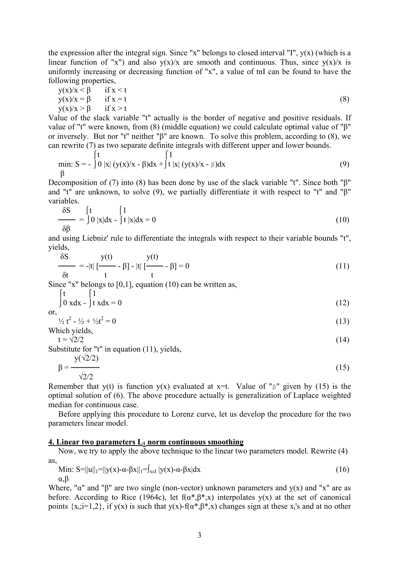the expression after the integral sign. Since "x" belongs to closed interval "I",  $y(x)$  (which is a linear function of "x") and also  $y(x)/x$  are smooth and continuous. Thus, since  $y(x)/x$  is uniformly increasing or decreasing function of "x", a value of tnI can be found to have the following properties,

$$
y(x)/x < \beta \quad \text{if } x < t
$$
  
\n
$$
y(x)/x = \beta \quad \text{if } x = t
$$
  
\n
$$
y(x)/x > \beta \quad \text{if } x > t
$$
\n(8)

Value of the slack variable "t" actually is the border of negative and positive residuals. If value of "t" were known, from (8) (middle equation) we could calculate optimal value of "β" or inversely. But nor "t" neither "β" are known. To solve this problem, according to (8), we can rewrite (7) as two separate definite integrals with different upper and lower bounds.

min: S = 
$$
\int_{0}^{t} |x| (y(x)/x - \beta) dx + \int_{0}^{1} |x| (y(x)/x - \beta) dx
$$
 (9)

Decomposition of (7) into (8) has been done by use of the slack variable "t". Since both "β" and "t" are unknown, to solve (9), we partially differentiate it with respect to "t" and "β" variables.

$$
\frac{\delta S}{\delta \beta} = \int_0^t \int_0^t |x| dx - \int_0^t |x| dx = 0
$$
 (10)

and using Liebniz' rule to differentiate the integrals with respect to their variable bounds "t", yields,

$$
\frac{\delta S}{\delta t} = -|t| \left[ \frac{y(t)}{t} - \beta \right] - |t| \left[ \frac{y(t)}{t} - \beta \right] = 0 \tag{11}
$$

Since "x" belongs to  $[0,1]$ , equation  $(10)$  can be written as,

$$
\int_0^t \int_0^t \frac{1}{t} \, x \, dx = 0 \tag{12}
$$

$$
\quad \text{or,} \quad
$$

$$
\frac{1}{2}t^2 - \frac{1}{2} + \frac{1}{2}t^2 = 0
$$
 (13)

Which yields,

$$
t = \sqrt{2}/2 \tag{14}
$$

Substitute for "t" in equation (11), yields,

$$
\beta = \frac{y(\sqrt{2}/2)}{\sqrt{2}/2} \tag{15}
$$

Remember that y(t) is function y(x) evaluated at x=t. Value of "β" given by (15) is the optimal solution of (6). The above procedure actually is generalization of Laplace weighted median for continuous case.

 Before applying this procedure to Lorenz curve, let us develop the procedure for the two parameters linear model.

# **<u>4. Linear two parameters L<sub>1</sub> norm continuous smoothing</u>**

 Now, we try to apply the above technique to the linear two parameters model. Rewrite (4) as,

Min: S=||u||<sub>1</sub>=||y(x)-
$$
\alpha
$$
- $\beta$ x||<sub>1</sub>= $\int_{x\in I} |y(x)-\alpha-\beta x|dx$   
 $\alpha,\beta$  (16)

Where, " $\alpha$ " and " $\beta$ " are two single (non-vector) unknown parameters and  $y(x)$  and "x" are as before. According to Rice (1964c), let  $f(\alpha^*, \beta^*, x)$  interpolates y(x) at the set of canonical points  $\{x_i; i=1,2\}$ , if  $y(x)$  is such that  $y(x)$ -f( $\alpha^*, \beta^*, x$ ) changes sign at these  $x_i$ 's and at no other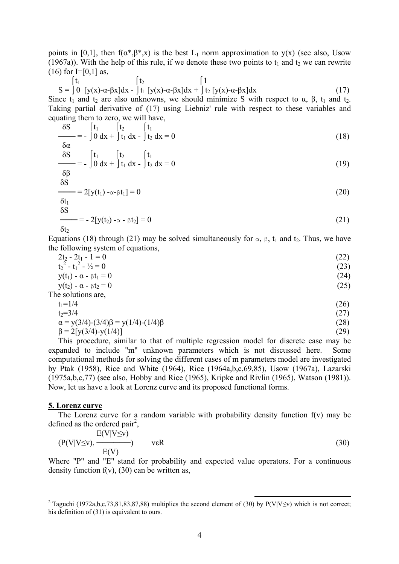points in [0,1], then  $f(\alpha^*, \beta^*, x)$  is the best L<sub>1</sub> norm approximation to y(x) (see also, Usow (1967a)). With the help of this rule, if we denote these two points to  $t_1$  and  $t_2$  we can rewrite  $(16)$  for I=[0,1] as,

$$
S = \int_0^t \int_0^t \int_{\alpha-\beta}^{\beta} f_1 \int_{\alpha-\beta}^{\beta} f_2 \int_{\alpha-\beta}^{\beta} f_1 \int_{\alpha-\beta}^{\beta} f_2 \int_{\alpha-\beta}^{\beta} f_1 \int_{\alpha-\beta}^{\beta} f_2 \int_{\alpha-\beta}^{\beta} f_2 \int_{\alpha-\beta}^{\beta} f_1 \int_{\alpha-\beta}^{\beta} f_2 \int_{\alpha-\beta}^{\beta} f_1 \int_{\alpha-\beta}^{\beta} f_2 \int_{\alpha-\beta}^{\beta} f_1 \int_{\alpha-\beta}^{\beta} f_1 \int_{\alpha-\beta}^{\beta} f_2 \int_{\alpha-\beta}^{\beta} f_1 \int_{\alpha-\beta}^{\beta} f_1 \int_{\alpha-\beta}^{\beta} f_1 \int_{\alpha-\beta}^{\beta} f_1 \int_{\alpha-\beta}^{\beta} f_1 \int_{\alpha-\beta}^{\beta} f_1 \int_{\alpha-\beta}^{\beta} f_1 \int_{\alpha-\beta}^{\beta} f_1 \int_{\alpha-\beta}^{\beta} f_1 \int_{\alpha-\beta}^{\beta} f_1 \int_{\alpha-\beta}^{\beta} f_1 \int_{\alpha-\beta}^{\beta} f_1 \int_{\alpha-\beta}^{\beta} f_1 \int_{\alpha-\beta}^{\beta} f_1 \int_{\alpha-\beta}^{\beta} f_1 \int_{\alpha-\beta}^{\beta} f_1 \int_{\alpha-\beta}^{\beta} f_1 \int_{\alpha-\beta}^{\beta} f_1 \int_{\alpha-\beta}^{\beta} f_1 \int_{\alpha-\beta}^{\beta} f_1 \int_{\alpha-\beta}^{\beta} f_1 \int_{\alpha-\beta}^{\beta} f_1 \int_{\alpha-\beta}^{\beta} f_1 \int_{\alpha-\beta}^{\beta} f_1 \int_{\alpha-\beta}^{\beta} f_1 \int_{\alpha-\beta}^{\beta} f_1 \int_{\alpha-\beta}^{\beta} f_1 \int_{\alpha-\beta}^{\beta} f_1 \int_{\alpha-\beta}^{\beta} f_1 \int_{\alpha-\beta}^{\beta} f_1 \int_{\alpha-\beta}^{\beta} f_1 \int_{\alpha-\beta}^{\beta} f_1 \int_{\alpha-\beta}^{\beta} f_1 \int_{\alpha-\beta}^{\beta} f_1 \int_{\alpha-\beta}^{\beta} f_1 \int_{\alpha-\beta}^{\
$$

Since t<sub>1</sub> and t<sub>2</sub> are also unknowns, we should minimize S with respect to  $\alpha$ ,  $\beta$ , t<sub>1</sub> and t<sub>2</sub>. Taking partial derivative of (17) using Liebniz' rule with respect to these variables and equating them to zero, we will have,

$$
\frac{\delta S}{\delta \alpha} = -\int_0^t \frac{t_1}{\delta x} dt + \int_0^t \frac{t_1}{t_1} dx - \int_0^t \frac{t_1}{t_2} dx = 0
$$
\n(18)

$$
\frac{\delta S}{s_B} = -\int_0^t \frac{t_1}{\delta x} dt + \int_0^t \frac{t_1}{t_1} dx - \int_0^t \frac{t_1}{t_2} dx = 0
$$
 (19)

$$
\frac{\delta \beta}{\delta S} = 2[y(t_1) - \alpha - \beta t_1] = 0 \tag{20}
$$

$$
\frac{\delta t_1}{\delta S} = -2[y(t_2) - \alpha - \beta t_2] = 0 \tag{21}
$$

$$
\delta t_2
$$

Equations (18) through (21) may be solved simultaneously for  $\alpha$ , β, t<sub>1</sub> and t<sub>2</sub>. Thus, we have the following system of equations,

| $2t_2 - 2t_1 - 1 = 0$                            | (22) |
|--------------------------------------------------|------|
| $t22 - t12 - \frac{1}{2} = 0$                    | (23) |
| $y(t_1) - \alpha - \beta t_1 = 0$                | (24) |
| $y(t_2) - \alpha - \beta t_2 = 0$                | (25) |
| The solutions are,                               |      |
| $t_1 = 1/4$                                      | (26) |
| $t_2 = 3/4$                                      | (27) |
| $\alpha = y(3/4)-(3/4)\beta = y(1/4)-(1/4)\beta$ | (28) |
| $\beta = 2[y(3/4)-y(1/4)]$                       | (29) |

 This procedure, similar to that of multiple regression model for discrete case may be expanded to include "m" unknown parameters which is not discussed here. Some computational methods for solving the different cases of m parameters model are investigated by Ptak (1958), Rice and White (1964), Rice (1964a,b,c,69,85), Usow (1967a), Lazarski (1975a,b,c,77) (see also, Hobby and Rice (1965), Kripke and Rivlin (1965), Watson (1981)). Now, let us have a look at Lorenz curve and its proposed functional forms.

#### **5. Lorenz curve**

 The Lorenz curve for a random variable with probability density function f(v) may be defined as the ordered pair<sup>2</sup>,

$$
(P(V|V\leq v), \frac{E(V|V\leq v)}{E(V)}) \qquad \text{veR}
$$
 (30)

Where "P" and "E" stand for probability and expected value operators. For a continuous density function  $f(v)$ , (30) can be written as,

<sup>&</sup>lt;sup>2</sup> Taguchi (1972a,b,c,73,81,83,87,88) multiplies the second element of (30) by P(V|V≤v) which is not correct; his definition of (31) is equivalent to ours.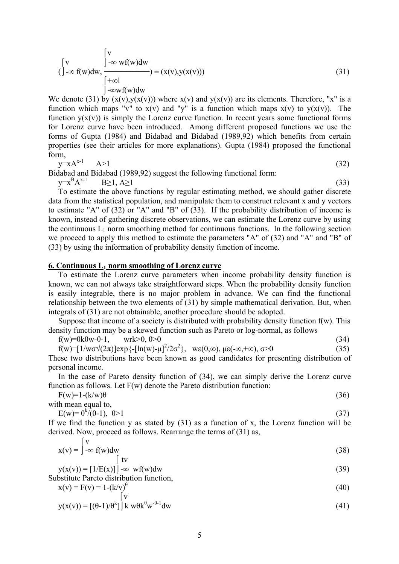$$
\begin{cases}\n\text{v} & \int_{-\infty}^{\infty} \text{wf(w)dw} \\
\text{()} -\infty \text{ f(w)dw}, & \int_{-\infty}^{\infty} \text{wf(w)dw}\n\end{cases} \equiv (x(v), y(x(v)))
$$
\n(31)

We denote (31) by  $(x(y),y(x(y)))$  where  $x(y)$  and  $y(x(y))$  are its elements. Therefore, "x" is a function which maps "v" to  $x(v)$  and "y" is a function which maps  $x(v)$  to  $y(x(v))$ . The function  $y(x(y))$  is simply the Lorenz curve function. In recent years some functional forms for Lorenz curve have been introduced. Among different proposed functions we use the forms of Gupta (1984) and Bidabad and Bidabad (1989,92) which benefits from certain properties (see their articles for more explanations). Gupta (1984) proposed the functional form,

$$
y = xA^{x-1} \qquad A > 1 \tag{32}
$$

Bidabad and Bidabad (1989,92) suggest the following functional form:  $y=x^B$  $A^{x-1}$  B≥1,  $A \ge 1$  (33)

 To estimate the above functions by regular estimating method, we should gather discrete data from the statistical population, and manipulate them to construct relevant x and y vectors to estimate "A" of (32) or "A" and "B" of (33). If the probability distribution of income is known, instead of gathering discrete observations, we can estimate the Lorenz curve by using the continuous  $L_1$  norm smoothing method for continuous functions. In the following section we proceed to apply this method to estimate the parameters "A" of (32) and "A" and "B" of (33) by using the information of probability density function of income.

### **6. Continuous L1 norm smoothing of Lorenz curve**

 To estimate the Lorenz curve parameters when income probability density function is known, we can not always take straightforward steps. When the probability density function is easily integrable, there is no major problem in advance. We can find the functional relationship between the two elements of (31) by simple mathematical derivation. But, when integrals of (31) are not obtainable, another procedure should be adopted.

Suppose that income of a society is distributed with probability density function  $f(w)$ . This density function may be a skewed function such as Pareto or log-normal, as follows

f(w)= $\theta$ k $\theta$ w- $\theta$ -1, wrk $>0$ ,  $\theta$  $>0$  (34)

f(w)=[1/w $\sigma\sqrt{2\pi}$ ]exp{-[ln(w)- $\mu$ ]<sup>2</sup>/2 $\sigma^2$ }, w $\varepsilon(0,\infty)$ ,  $\mu\varepsilon(-\infty,+\infty)$ ,  $\sigma>0$  (35)

These two distributions have been known as good candidates for presenting distribution of personal income.

 In the case of Pareto density function of (34), we can simply derive the Lorenz curve function as follows. Let F(w) denote the Pareto distribution function:

 $F(w)=1-(k/w)\theta$  (36)

with mean equal to,  $E(w) = \theta^k / (\theta - 1), \ \theta > 1$  (37)

If we find the function y as stated by  $(31)$  as a function of x, the Lorenz function will be derived. Now, proceed as follows. Rearrange the terms of (31) as,

$$
x(v) = \int_{-\infty}^{v} f(w) dw
$$
 (38)

$$
y(x(v)) = [1/E(x)] \rightarrow \infty \text{wf}(w)dw
$$
\n(39)

Substitute Pareto distribution function,

$$
x(v) = F(v) = 1 - (k/v)^{\theta}
$$
 (40)

$$
y(x(v)) = \left[ (\theta - 1)/\theta^k \right] \mathbf{k} \ w \theta \mathbf{k}^{\theta} \mathbf{w}^{-\theta - 1} \mathbf{d} \mathbf{w} \tag{41}
$$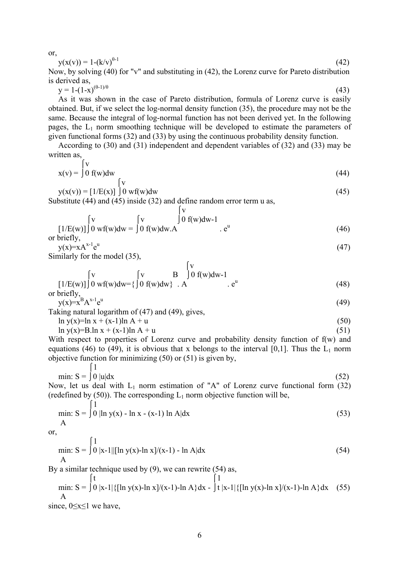or,

$$
y(x(v)) = 1 - (k/v)^{\theta - 1}
$$
 (42)

Now, by solving (40) for "v" and substituting in (42), the Lorenz curve for Pareto distribution is derived as,

$$
y = 1 - (1 - x)^{(\theta - 1)/\theta} \tag{43}
$$

 As it was shown in the case of Pareto distribution, formula of Lorenz curve is easily obtained. But, if we select the log-normal density function (35), the procedure may not be the same. Because the integral of log-normal function has not been derived yet. In the following pages, the  $L_1$  norm smoothing technique will be developed to estimate the parameters of given functional forms (32) and (33) by using the continuous probability density function.

 According to (30) and (31) independent and dependent variables of (32) and (33) may be written as,

$$
x(v) = \int_0^V f(w) dw
$$
 (44)

$$
y(x(v)) = [1/E(x)] \int_0^V wf(w)dw
$$
\n(45)

Substitute (44) and (45) inside (32) and define random error term u as,

$$
\begin{bmatrix} v \\ [1/E(w)] \end{bmatrix} \begin{bmatrix} v \\ 0 \text{ if } w \end{bmatrix} \begin{bmatrix} v \\ 0 \text{ if } w \end{bmatrix} \begin{bmatrix} v \\ 0 \text{ if } w \end{bmatrix} \begin{bmatrix} v \\ e^u \end{bmatrix}
$$

or briefly,  $y(x)=xA^{x-1}e^u$ 

 $(47)$ Similarly for the model (35),

$$
\begin{bmatrix}\nV & \text{y} & \text{y} \\
1/E(w)] & 0 & \text{wf}(w)dw = \left\{\int_0^V W \, dW\right\} & A & e^u \\
\text{or briefly,}\n\end{bmatrix}\n\begin{bmatrix}\nV & \text{B} & \text{0} & \text{f}(w)dw - 1 \\
0 & \text{f}(w)dw\right\} & A\n\end{bmatrix}.
$$
\n(48)

or of the equation is:\n
$$
y(x) = x^B A^{x-1} e^u
$$

 (49) Taking natural logarithm of (47) and (49), gives,

 $\ln y(x)=\ln x + (x-1)\ln A + u$  (50)

$$
\ln y(x)=B \ln x + (x-1)\ln A + u \tag{51}
$$

With respect to properties of Lorenz curve and probability density function of  $f(w)$  and equations (46) to (49), it is obvious that x belongs to the interval [0,1]. Thus the  $L_1$  norm objective function for minimizing (50) or (51) is given by,

$$
\min: S = \int_0^1 0 \, |u| \, dx \tag{52}
$$

Now, let us deal with  $L_1$  norm estimation of "A" of Lorenz curve functional form (32) (redefined by  $(50)$ ). The corresponding  $L_1$  norm objective function will be,

min: S = 
$$
\int_0^1 1
$$
 ln y(x) - ln x - (x-1) ln A|dx (53)

or,

min: S = 
$$
\int_{0}^{1} |x-1| \sin(y) - \ln x = 1
$$
 (54)

By a similar technique used by (9), we can rewrite (54) as,

min: S = 
$$
\int_0^t \int_0^t |x-1| \{[\ln y(x)-\ln x]/(x-1)-\ln A\} dx - \int_t^t |x-1| \{[\ln y(x)-\ln x]/(x-1)-\ln A\} dx
$$
 (55)

since, 0≤x≤1 we have,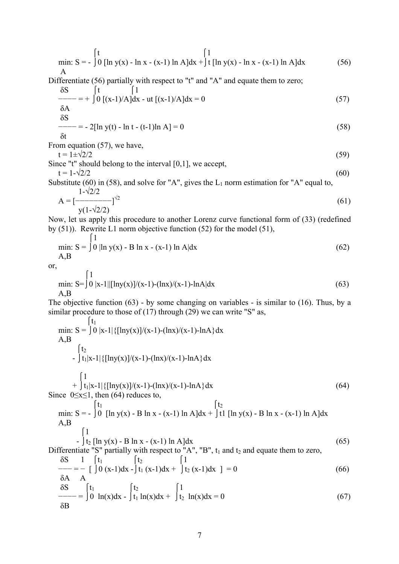min: S = 
$$
\int_{0}^{t} [\ln y(x) - \ln x - (x-1) \ln A] dx + \int_{0}^{t} [\ln y(x) - \ln x - (x-1) \ln A] dx
$$
 (56)

Differentiate (56) partially with respect to "t" and "A" and equate them to zero;

$$
\frac{\delta S}{\delta A} = + \int_0^t \left[ \frac{1}{(x-1)/A} \right] dx - ut \left[ (x-1)/A \right] dx = 0
$$
\n(57)\n
$$
\delta S
$$
\n
$$
S = -2 \left[ \ln y(t) - \ln t - (t-1) \ln A \right] = 0
$$
\n(58)

$$
\frac{1}{s} = -2[\ln y(t) - \ln t - (t-1)\ln A] = 0
$$
\n(58)

δt

From equation (57), we have,

$$
t = 1 \pm \sqrt{2}/2\tag{59}
$$

Since "t" should belong to the interval [0,1], we accept,  $t = 1 - \sqrt{2}/2$  (60)

Substitute (60) in (58), and solve for "A", gives the  $L_1$  norm estimation for "A" equal to,

$$
A = \left[\frac{1-\sqrt{2}/2}{y(1-\sqrt{2}/2)}\right]^{1/2}
$$
(61)

Now, let us apply this procedure to another Lorenz curve functional form of (33) (redefined by (51)). Rewrite L1 norm objective function (52) for the model (51),  $\int_1^1$ 

min: 
$$
S = \int_0^1 \ln y(x) - B \ln x - (x-1) \ln A| dx
$$
 (62)  
A,B

or,

$$
\min_{A,B} S = \int_0^1 0 |x-1| \left[ \ln y(x) \right] / (x-1) - (\ln x) / (x-1) - \ln A | dx \tag{63}
$$

The objective function (63) - by some changing on variables - is similar to (16). Thus, by a similar procedure to those of (17) through (29) we can write "S" as,

$$
\begin{aligned}\n\min: S &= \int 0 |x-1| \{[\ln y(x)]/(x-1) - (\ln x)/(x-1) - \ln A\} dx \\
A, B & \int t_2 \\
&- \int t_1 |x-1| \{[\ln y(x)]/(x-1) - (\ln x)/(x-1) - \ln A\} dx \\
\text{Since } 0 \le x \le 1, \text{ then } (64) \text{ reduces to,} \\
\int t_1 \\
\min: S &= - \int 0 [\ln y(x) - B \ln x - (x-1) \ln A] dx + \int t_1 [\ln y(x) - B \ln x - (x-1) \ln A] dx \\
A, B & \int 1 \\
&- \int t_2 [\ln y(x) - B \ln x - (x-1) \ln A] dx + \int t_1 [\ln y(x) - B \ln x - (x-1) \ln A] dx \\
\text{Differentiate "S" partially with respect to "A", "B", t1 and t2 and equate them to zero,} \\
\delta S & 1 \int t_1 \\
&= - \left[ \int 0 (x-1) dx - \int t_1 (x-1) dx + \int t_2 (x-1) dx \right] = 0 \\
\delta A & \delta S \\
&= \int t_1 \\
&= - \left[ \int 0 \ln(x) dx - \int t_1 \ln(x) dx + \int t_2 \ln(x) dx \right] = 0 \\
\delta B\n\end{aligned}
$$
\n(66)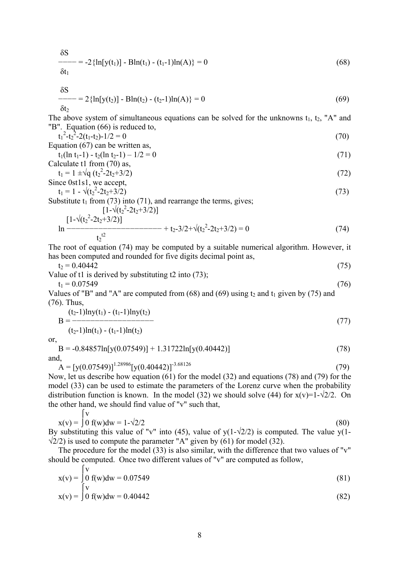$$
\frac{\delta S}{\delta t_1} = -2 \left\{ \ln[y(t_1)] - \text{B} \ln(t_1) - (t_1 - 1) \ln(A) \right\} = 0 \tag{68}
$$

 $\mathsf{u}_1$ 

$$
\frac{\delta S}{\delta t_2} = 2 \{ \ln[y(t_2)] - B \ln(t_2) - (t_2 - 1) \ln(A) \} = 0 \tag{69}
$$

The above system of simultaneous equations can be solved for the unknowns  $t_1$ ,  $t_2$ , "A" and "B". Equation (66) is reduced to,

$$
t_1^2 - t_2^2 - 2(t_1 - t_2) - 1/2 = 0
$$
\n(70)

Equation (67) can be written as, 
$$
\frac{1}{2}
$$

$$
t_1(\ln t_1 - 1) - t_2(\ln t_2 - 1) - 1/2 = 0
$$
  
Calculate t1 from (70) as, (71)

$$
t_1 = 1 \pm \sqrt{q} \left( t_2^2 - 2t_2 + 3/2 \right) \tag{72}
$$

Since 0st1s1, we accept,  
\n
$$
t_1 = 1 - \sqrt{(t_2^2 - 2t_2 + 3/2)}
$$
 (73)

Substitute  $t_1$  from (73) into (71), and rearrange the terms, gives;

$$
\left[1-\sqrt{(t_2^2-2t_2+3/2)}\right]
$$
  
\n
$$
\ln \frac{[1-\sqrt{(t_2^2-2t_2+3/2)}]}{t_2^{t_2}} + t_2-3/2+\sqrt{(t_2^2-2t_2+3/2)} = 0
$$
\n(74)

The root of equation (74) may be computed by a suitable numerical algorithm. However, it has been computed and rounded for five digits decimal point as,

$$
t_2 = 0.40442 \tag{75}
$$

Value of t1 is derived by substituting t2 into (73);

$$
t_1 = 0.07549 \tag{76}
$$

Values of "B" and "A" are computed from  $(68)$  and  $(69)$  using  $t_2$  and  $t_1$  given by (75) and (76). Thus,

$$
B = \frac{(t_2-1)\ln y(t_1) - (t_1-1)\ln y(t_2)}{(t_2-1)\ln(t_1) - (t_1-1)\ln(t_2)}
$$
(77)

or,

$$
B = -0.84857\ln[y(0.07549)] + 1.31722\ln[y(0.40442)]
$$
\nand, (78)

 $A = [y(0.07549)]^{1.28986} [y(0.40442)]^{3.68126}$  (79)

Now, let us describe how equation (61) for the model (32) and equations (78) and (79) for the model (33) can be used to estimate the parameters of the Lorenz curve when the probability distribution function is known. In the model (32) we should solve (44) for  $x(v)=1-\sqrt{2}/2$ . On the other hand, we should find value of "v" such that,

$$
x(v) = \int_0^V 0 f(w) dw = 1 - \sqrt{2}/2
$$
 (80)

By substituting this value of "v" into (45), value of  $y(1-\sqrt{2}/2)$  is computed. The value  $y(1-\sqrt{2}/2)$  $\sqrt{2}/2$ ) is used to compute the parameter "A" given by (61) for model (32).

 The procedure for the model (33) is also similar, with the difference that two values of "v" should be computed. Once two different values of "v" are computed as follow,  $\int_{\mathbf{v}}$ 

$$
x(v) = \int_{\int_{V}^{V}} f(w)dw = 0.07549
$$
\n(81)

$$
x(v) = \int 0 f(w) dw = 0.40442
$$
 (82)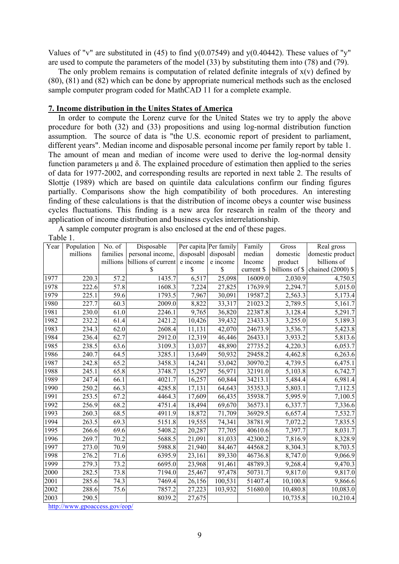Values of "v" are substituted in (45) to find  $y(0.07549)$  and  $y(0.40442)$ . These values of "y" are used to compute the parameters of the model (33) by substituting them into (78) and (79).

The only problem remains is computation of related definite integrals of  $x(y)$  defined by (80), (81) and (82) which can be done by appropriate numerical methods such as the enclosed sample computer program coded for MathCAD 11 for a complete example.

## **7. Income distribution in the Unites States of America**

 In order to compute the Lorenz curve for the United States we try to apply the above procedure for both (32) and (33) propositions and using log-normal distribution function assumption. The source of data is "the U.S. economic report of president to parliament, different years". Median income and disposable personal income per family report by table 1. The amount of mean and median of income were used to derive the log-normal density function parameters  $μ$  and  $δ$ . The explained procedure of estimation then applied to the series of data for 1977-2002, and corresponding results are reported in next table 2. The results of Slottje (1989) which are based on quintile data calculations confirm our finding figures partially. Comparisons show the high compatibility of both procedures. An interesting finding of these calculations is that the distribution of income obeys a counter wise business cycles fluctuations. This finding is a new area for research in realm of the theory and application of income distribution and business cycles interrelationship.

A sample computer program is also enclosed at the end of these pages.

| abie |  |
|------|--|
|      |  |

| Year | Population | No. of   | Disposable          |           | Per capita Per family | Family     | Gross          | Real gross          |
|------|------------|----------|---------------------|-----------|-----------------------|------------|----------------|---------------------|
|      | millions   | families | personal income,    | disposabl | disposabl             | median     | domestic       | domestic product    |
|      |            | millions | billions of current | e income  | e income              | Income     | product        | billions of         |
|      |            |          | S                   | \$        | S                     | current \$ | billions of \$ | chained $(2000)$ \$ |
| 1977 | 220.3      | 57.2     | 1435.7              | 6,517     | 25,098                | 16009.0    | 2,030.9        | 4,750.5             |
| 1978 | 222.6      | 57.8     | 1608.3              | 7,224     | 27,825                | 17639.9    | 2,294.7        | 5,015.0             |
| 1979 | 225.1      | 59.6     | 1793.5              | 7,967     | 30,091                | 19587.2    | 2,563.3        | 5,173.4             |
| 1980 | 227.7      | 60.3     | 2009.0              | 8,822     | 33,317                | 21023.2    | 2,789.5        | 5,161.7             |
| 1981 | 230.0      | 61.0     | 2246.1              | 9,765     | 36,820                | 22387.8    | 3,128.4        | 5,291.7             |
| 1982 | 232.2      | 61.4     | 2421.2              | 10,426    | 39,432                | 23433.3    | 3,255.0        | 5,189.3             |
| 1983 | 234.3      | 62.0     | 2608.4              | 11,131    | 42,070                | 24673.9    | 3,536.7        | 5,423.8             |
| 1984 | 236.4      | 62.7     | 2912.0              | 12,319    | 46,446                | 26433.1    | 3,933.2        | 5,813.6             |
| 1985 | 238.5      | 63.6     | 3109.3              | 13,037    | 48,890                | 27735.2    | 4,220.3        | 6,053.7             |
| 1986 | 240.7      | 64.5     | 3285.1              | 13,649    | 50,932                | 29458.2    | 4,462.8        | 6,263.6             |
| 1987 | 242.8      | 65.2     | 3458.3              | 14,241    | 53,042                | 30970.2    | 4,739.5        | 6,475.1             |
| 1988 | 245.1      | 65.8     | 3748.7              | 15,297    | 56,971                | 32191.0    | 5,103.8        | 6,742.7             |
| 1989 | 247.4      | 66.1     | 4021.7              | 16,257    | 60,844                | 34213.1    | 5,484.4        | 6,981.4             |
| 1990 | 250.2      | 66.3     | 4285.8              | 17,131    | 64,643                | 35353.3    | 5,803.1        | 7,112.5             |
| 1991 | 253.5      | 67.2     | 4464.3              | 17,609    | 66,435                | 35938.7    | 5,995.9        | 7,100.5             |
| 1992 | 256.9      | 68.2     | 4751.4              | 18,494    | 69,670                | 36573.1    | 6,337.7        | 7,336.6             |
| 1993 | 260.3      | 68.5     | 4911.9              | 18,872    | 71,709                | 36929.5    | 6,657.4        | 7,532.7             |
| 1994 | 263.5      | 69.3     | 5151.8              | 19,555    | 74,341                | 38781.9    | 7,072.2        | 7,835.5             |
| 1995 | 266.6      | 69.6     | 5408.2              | 20,287    | 77,705                | 40610.6    | 7,397.7        | 8,031.7             |
| 1996 | 269.7      | 70.2     | 5688.5              | 21,091    | 81,033                | 42300.2    | 7,816.9        | 8,328.9             |
| 1997 | 273.0      | 70.9     | 5988.8              | 21,940    | 84,467                | 44568.2    | 8,304.3        | 8,703.5             |
| 1998 | 276.2      | 71.6     | 6395.9              | 23,161    | 89,330                | 46736.8    | 8,747.0        | 9,066.9             |
| 1999 | 279.3      | 73.2     | 6695.0              | 23,968    | 91,461                | 48789.3    | 9,268.4        | 9,470.3             |
| 2000 | 282.5      | 73.8     | 7194.0              | 25,467    | 97,478                | 50731.7    | 9,817.0        | 9,817.0             |
| 2001 | 285.6      | 74.3     | 7469.4              | 26,156    | 100,531               | 51407.4    | 10,100.8       | 9,866.6             |
| 2002 | 288.6      | 75.6     | 7857.2              | 27,223    | 103,932               | 51680.0    | 10,480.8       | 10,083.0            |
| 2003 | 290.5      |          | 8039.2              | 27,675    |                       |            | 10,735.8       | 10,210.4            |

http://www.gpoaccess.gov/eop/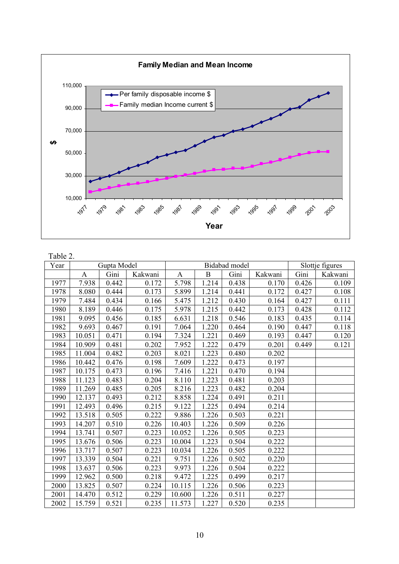

| Table 2. |             |       |         |               |       |       |         |                 |         |
|----------|-------------|-------|---------|---------------|-------|-------|---------|-----------------|---------|
| Year     | Gupta Model |       |         | Bidabad model |       |       |         | Slottje figures |         |
|          | A           | Gini  | Kakwani | A             | B     | Gini  | Kakwani | Gini            | Kakwani |
| 1977     | 7.938       | 0.442 | 0.172   | 5.798         | 1.214 | 0.438 | 0.170   | 0.426           | 0.109   |
| 1978     | 8.080       | 0.444 | 0.173   | 5.899         | 1.214 | 0.441 | 0.172   | 0.427           | 0.108   |
| 1979     | 7.484       | 0.434 | 0.166   | 5.475         | 1.212 | 0.430 | 0.164   | 0.427           | 0.111   |
| 1980     | 8.189       | 0.446 | 0.175   | 5.978         | 1.215 | 0.442 | 0.173   | 0.428           | 0.112   |
| 1981     | 9.095       | 0.456 | 0.185   | 6.631         | 1.218 | 0.546 | 0.183   | 0.435           | 0.114   |
| 1982     | 9.693       | 0.467 | 0.191   | 7.064         | 1.220 | 0.464 | 0.190   | 0.447           | 0.118   |
| 1983     | 10.051      | 0.471 | 0.194   | 7.324         | 1.221 | 0.469 | 0.193   | 0.447           | 0.120   |
| 1984     | 10.909      | 0.481 | 0.202   | 7.952         | 1.222 | 0.479 | 0.201   | 0.449           | 0.121   |
| 1985     | 11.004      | 0.482 | 0.203   | 8.021         | 1.223 | 0.480 | 0.202   |                 |         |
| 1986     | 10.442      | 0.476 | 0.198   | 7.609         | 1.222 | 0.473 | 0.197   |                 |         |
| 1987     | 10.175      | 0.473 | 0.196   | 7.416         | 1.221 | 0.470 | 0.194   |                 |         |
| 1988     | 11.123      | 0.483 | 0.204   | 8.110         | 1.223 | 0.481 | 0.203   |                 |         |
| 1989     | 11.269      | 0.485 | 0.205   | 8.216         | 1.223 | 0.482 | 0.204   |                 |         |
| 1990     | 12.137      | 0.493 | 0.212   | 8.858         | 1.224 | 0.491 | 0.211   |                 |         |
| 1991     | 12.493      | 0.496 | 0.215   | 9.122         | 1.225 | 0.494 | 0.214   |                 |         |
| 1992     | 13.518      | 0.505 | 0.222   | 9.886         | 1.226 | 0.503 | 0.221   |                 |         |
| 1993     | 14.207      | 0.510 | 0.226   | 10.403        | 1.226 | 0.509 | 0.226   |                 |         |
| 1994     | 13.741      | 0.507 | 0.223   | 10.052        | 1.226 | 0.505 | 0.223   |                 |         |
| 1995     | 13.676      | 0.506 | 0.223   | 10.004        | 1.223 | 0.504 | 0.222   |                 |         |
| 1996     | 13.717      | 0.507 | 0.223   | 10.034        | 1.226 | 0.505 | 0.222   |                 |         |
| 1997     | 13.339      | 0.504 | 0.221   | 9.751         | 1.226 | 0.502 | 0.220   |                 |         |
| 1998     | 13.637      | 0.506 | 0.223   | 9.973         | 1.226 | 0.504 | 0.222   |                 |         |
| 1999     | 12.962      | 0.500 | 0.218   | 9.472         | 1.225 | 0.499 | 0.217   |                 |         |
| 2000     | 13.825      | 0.507 | 0.224   | 10.115        | 1.226 | 0.506 | 0.223   |                 |         |
| 2001     | 14.470      | 0.512 | 0.229   | 10.600        | 1.226 | 0.511 | 0.227   |                 |         |

2002 15.759 0.521 0.235 11.573 1.227 0.520 0.235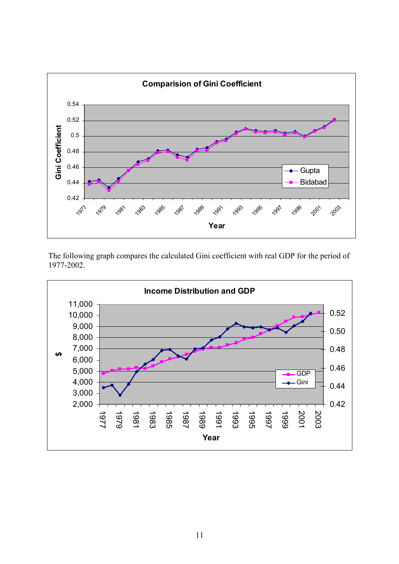

The following graph compares the calculated Gini coefficient with real GDP for the period of 1977-2002.

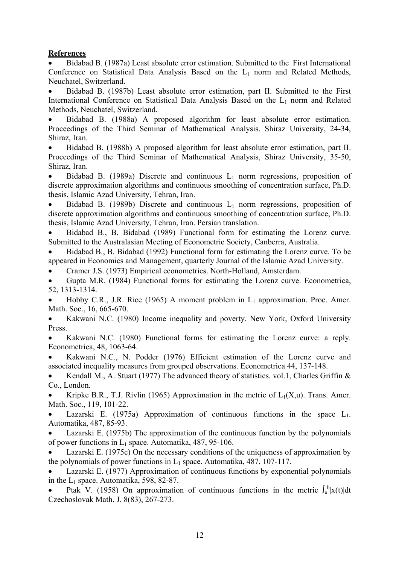# **References**

• Bidabad B. (1987a) Least absolute error estimation. Submitted to the First International Conference on Statistical Data Analysis Based on the  $L_1$  norm and Related Methods, Neuchatel, Switzerland.

• Bidabad B. (1987b) Least absolute error estimation, part II. Submitted to the First International Conference on Statistical Data Analysis Based on the L<sub>1</sub> norm and Related Methods, Neuchatel, Switzerland.

• Bidabad B. (1988a) A proposed algorithm for least absolute error estimation. Proceedings of the Third Seminar of Mathematical Analysis. Shiraz University, 24-34, Shiraz, Iran.

• Bidabad B. (1988b) A proposed algorithm for least absolute error estimation, part II. Proceedings of the Third Seminar of Mathematical Analysis, Shiraz University, 35-50, Shiraz, Iran.

Bidabad B. (1989a) Discrete and continuous  $L_1$  norm regressions, proposition of discrete approximation algorithms and continuous smoothing of concentration surface, Ph.D. thesis, Islamic Azad University, Tehran, Iran.

Bidabad B. (1989b) Discrete and continuous  $L_1$  norm regressions, proposition of discrete approximation algorithms and continuous smoothing of concentration surface, Ph.D. thesis, Islamic Azad University, Tehran, Iran. Persian translation.

• Bidabad B., B. Bidabad (1989) Functional form for estimating the Lorenz curve. Submitted to the Australasian Meeting of Econometric Society, Canberra, Australia.

• Bidabad B., B. Bidabad (1992) Functional form for estimating the Lorenz curve. To be appeared in Economics and Management, quarterly Journal of the Islamic Azad University.

• Cramer J.S. (1973) Empirical econometrics. North-Holland, Amsterdam.

• Gupta M.R. (1984) Functional forms for estimating the Lorenz curve. Econometrica, 52, 1313-1314.

Hobby C.R., J.R. Rice (1965) A moment problem in  $L_1$  approximation. Proc. Amer. Math. Soc., 16, 665-670.

• Kakwani N.C. (1980) Income inequality and poverty. New York, Oxford University **Press**.

• Kakwani N.C. (1980) Functional forms for estimating the Lorenz curve: a reply. Econometrica, 48, 1063-64.

• Kakwani N.C., N. Podder (1976) Efficient estimation of the Lorenz curve and associated inequality measures from grouped observations. Econometrica 44, 137-148.

Kendall M., A. Stuart (1977) The advanced theory of statistics. vol.1, Charles Griffin  $\&$ Co., London.

Kripke B.R., T.J. Rivlin (1965) Approximation in the metric of  $L_1(X, u)$ . Trans. Amer. Math. Soc., 119, 101-22.

Lazarski E. (1975a) Approximation of continuous functions in the space  $L_1$ . Automatika, 487, 85-93.

• Lazarski E. (1975b) The approximation of the continuous function by the polynomials of power functions in  $L_1$  space. Automatika, 487, 95-106.

Lazarski E. (1975c) On the necessary conditions of the uniqueness of approximation by the polynomials of power functions in  $L_1$  space. Automatika, 487, 107-117.

• Lazarski E. (1977) Approximation of continuous functions by exponential polynomials in the  $L_1$  space. Automatika, 598, 82-87.

• Ptak V. (1958) On approximation of continuous functions in the metric  $\int_a^b |x(t)| dt$ Czechoslovak Math. J. 8(83), 267-273.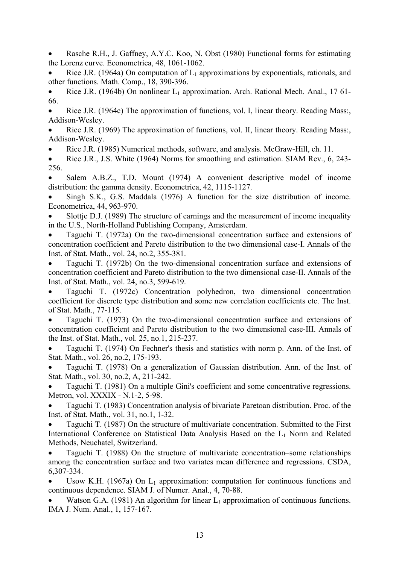• Rasche R.H., J. Gaffney, A.Y.C. Koo, N. Obst (1980) Functional forms for estimating the Lorenz curve. Econometrica, 48, 1061-1062.

Rice J.R. (1964a) On computation of  $L_1$  approximations by exponentials, rationals, and other functions. Math. Comp., 18, 390-396.

• Rice J.R. (1964b) On nonlinear  $L_1$  approximation. Arch. Rational Mech. Anal., 1761-66.

• Rice J.R. (1964c) The approximation of functions, vol. I, linear theory. Reading Mass:, Addison-Wesley.

• Rice J.R. (1969) The approximation of functions, vol. II, linear theory. Reading Mass:, Addison-Wesley.

• Rice J.R. (1985) Numerical methods, software, and analysis. McGraw-Hill, ch. 11.

• Rice J.R., J.S. White (1964) Norms for smoothing and estimation. SIAM Rev., 6, 243- 256.

Salem A.B.Z., T.D. Mount (1974) A convenient descriptive model of income distribution: the gamma density. Econometrica, 42, 1115-1127.

Singh S.K., G.S. Maddala (1976) A function for the size distribution of income. Econometrica, 44, 963-970.

• Slottje D.J. (1989) The structure of earnings and the measurement of income inequality in the U.S., North-Holland Publishing Company, Amsterdam.

• Taguchi T. (1972a) On the two-dimensional concentration surface and extensions of concentration coefficient and Pareto distribution to the two dimensional case-I. Annals of the Inst. of Stat. Math., vol. 24, no.2, 355-381.

• Taguchi T. (1972b) On the two-dimensional concentration surface and extensions of concentration coefficient and Pareto distribution to the two dimensional case-II. Annals of the Inst. of Stat. Math., vol. 24, no.3, 599-619.

• Taguchi T. (1972c) Concentration polyhedron, two dimensional concentration coefficient for discrete type distribution and some new correlation coefficients etc. The Inst. of Stat. Math., 77-115.

• Taguchi T. (1973) On the two-dimensional concentration surface and extensions of concentration coefficient and Pareto distribution to the two dimensional case-III. Annals of the Inst. of Stat. Math., vol. 25, no.1, 215-237.

• Taguchi T. (1974) On Fechner's thesis and statistics with norm p. Ann. of the Inst. of Stat. Math., vol. 26, no.2, 175-193.

• Taguchi T. (1978) On a generalization of Gaussian distribution. Ann. of the Inst. of Stat. Math., vol. 30, no.2, A, 211-242.

• Taguchi T. (1981) On a multiple Gini's coefficient and some concentrative regressions. Metron, vol. XXXIX - N.1-2, 5-98.

• Taguchi T. (1983) Concentration analysis of bivariate Paretoan distribution. Proc. of the Inst. of Stat. Math., vol. 31, no.1, 1-32.

• Taguchi T. (1987) On the structure of multivariate concentration. Submitted to the First International Conference on Statistical Data Analysis Based on the L<sub>1</sub> Norm and Related Methods, Neuchatel, Switzerland.

• Taguchi T. (1988) On the structure of multivariate concentration–some relationships among the concentration surface and two variates mean difference and regressions. CSDA, 6,307-334.

Usow K.H. (1967a) On  $L_1$  approximation: computation for continuous functions and continuous dependence. SIAM J. of Numer. Anal., 4, 70-88.

Watson G.A. (1981) An algorithm for linear  $L_1$  approximation of continuous functions. IMA J. Num. Anal., 1, 157-167.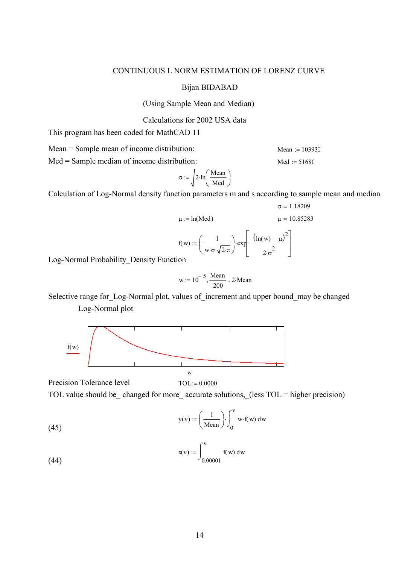# CONTINUOUS L NORM ESTIMATION OF LORENZ CURVE

## Bijan BIDABAD

(Using Sample Mean and Median)

Calculations for 2002 USA data

This program has been coded for MathCAD 11

 $Mean = Sample mean of income distribution:$  Mean  $:= 103932$ 

 $Med = Sample median of income distribution:$  Med  $:= 51680$ 

$$
\sigma := \sqrt{2 \cdot \ln\left(\frac{\text{Mean}}{\text{Med}}\right)}
$$

Calculation of Log-Normal density function parameters m and s according to sample mean and median

$$
\sigma = 1.18209
$$
\n
$$
\mu := \ln(\text{Med}) \qquad \mu = 10.85283
$$
\n
$$
f(w) := \left(\frac{1}{w \cdot \sigma \cdot \sqrt{2 \cdot \pi}}\right) \cdot \exp\left[\frac{-\left(\ln(w) - \mu\right)^2}{2 \cdot \sigma^2}\right]
$$
\n
$$
\text{ion}
$$

Log-Normal Probability Density Functi

$$
w := 10^{-5}, \frac{Mean}{200} \dots 2 \cdot Mean
$$

Selective range for Log-Normal plot, values of increment and upper bound may be changed Log-Normal plot



TOL value should be changed for more accurate solutions, (less TOL = higher precision)

(45) 
$$
y(v) := \left(\frac{1}{\text{Mean}}\right) \int_0^v w \cdot f(w) dw
$$

Precision Tolerance level  $TOL := 0.0000$ 

$$
x(v) := \int_{0.00001}^{V} f(w) dw
$$

(44)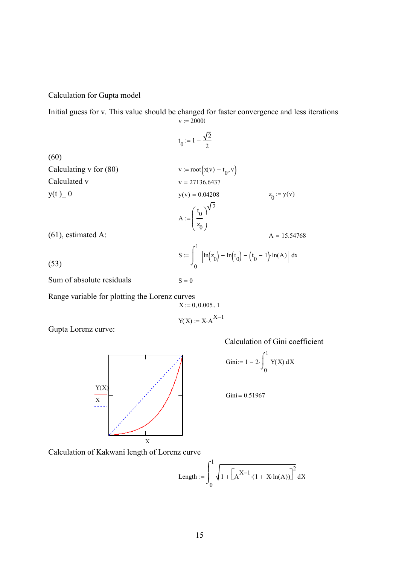Calculation for Gupta model

Initial guess for v. This value should be changed for faster convergence and less iterations  $v := 20000$ 

 $t_0 := 1 - \frac{\sqrt{2}}{2}$ 2  $:= 1 -$ (60) Calculating v for (80)  $v := root(x(v) - t_0, v)$ Calculated v  $v = 27136.6437$  $y(t)$  0  $y(v) = 0.04208$  $z_0 := y(v)$ A  $t_{0}$  $z_0$  $\int$  $\setminus$  $\backslash$ J 2 := (61), estimated A:  $A = 15.54768$ S 0 1  $\ln(z_0) - \ln(t_0) - (t_0 - 1) \cdot \ln(A) \, ds$  $\int$  $\overline{1}$ J,  $:=$   $\left| \ln(z_0) - \ln(t_0) - (t_0 - 1) \cdot \ln(A) \right|$  d (53) Sum of absolute residuals  $S = 0$ 

Range variable for plotting the Lorenz curves

 $X := 0, 0.005...$  1

 $Y(X) := X:A^{X-1}$ 

Gupta Lorenz curve:

Calculation of Gini coefficient



$$
Gini := 1 - 2 \cdot \int_0^1 Y(X) \, dX
$$

 $Gini = 0.51967$ 

Calculation of Kakwani length of Lorenz curve

Length := 
$$
\int_0^1 \sqrt{1 + \left[ A^{X-1} (1 + X \cdot \ln(A)) \right]^2} dX
$$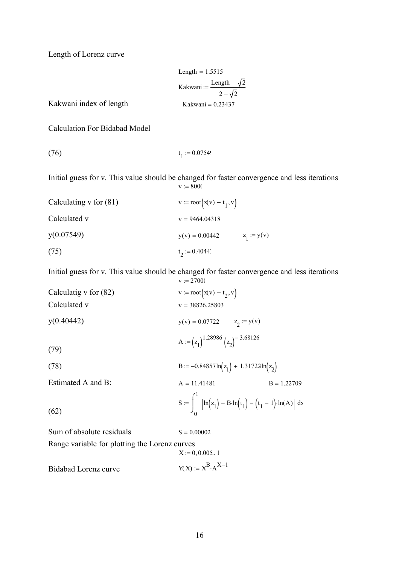Length of Lorenz curve

Length = 1.5515  
\nKakwani := 
$$
\frac{\text{Length} - \sqrt{2}}{2 - \sqrt{2}}
$$
\nKakwani index of length  
\nKakwani = 0.23437

Calculation For Bidabad Model

(76) 
$$
t_1 := 0.07549
$$

Initial guess for v. This value should be changed for faster convergence and less iterations  $v := 8000$ 

| Calculating $v$ for $(81)$ | $v := root(x(v) - t_1, v)$ |               |
|----------------------------|----------------------------|---------------|
| Calculated v               | $v = 9464.04318$           |               |
| y(0.07549)                 | $y(y) = 0.00442$           | $z_1 := y(v)$ |
| (75)                       | $t_2 := 0.40442$           |               |

Initial guess for v. This value should be changed for faster convergence and less iterations  $v := 27000$ 

| Calculatig v for $(82)$                       | $v := root(x(v) - t_2, v)$                                                              |  |  |  |
|-----------------------------------------------|-----------------------------------------------------------------------------------------|--|--|--|
| Calculated v                                  | $v = 38826.25803$                                                                       |  |  |  |
| y(0.40442)                                    | $y(v) = 0.07722$ $z_2 := y(v)$                                                          |  |  |  |
| (79)                                          | A := $(z_1)^{1.28986}$ $(z_2)^{-3.68126}$                                               |  |  |  |
| (78)                                          | B := $-0.84857\ln(z_1) + 1.31722\ln(z_2)$                                               |  |  |  |
| Estimated A and B:                            | $A = 11.41481$<br>$B = 1.22709$                                                         |  |  |  |
| (62)                                          | $S := \int_{0}^{1} \left[ ln(z_1) - B \cdot ln(t_1) - (t_1 - 1) \cdot ln(A) \right] dx$ |  |  |  |
| Sum of absolute residuals                     | $S = 0.00002$                                                                           |  |  |  |
| Range variable for plotting the Lorenz curves |                                                                                         |  |  |  |

Range variable for plotting the Lorenz curves  
\n
$$
X := 0, 0.005.. 1
$$
  
\nBidabad Lorenz curve  
\n $Y(X) := X^B \cdot A^{X-1}$